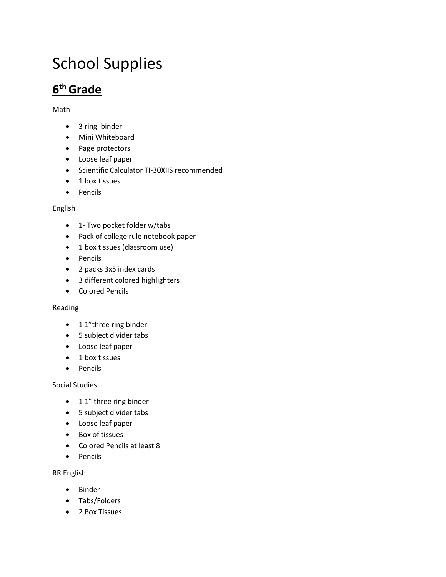# School Supplies

# **6 th Grade**

#### Math

- 3 ring binder
- Mini Whiteboard
- Page protectors
- Loose leaf paper
- Scientific Calculator TI-30XIIS recommended
- 1 box tissues
- Pencils

#### English

- 1- Two pocket folder w/tabs
- Pack of college rule notebook paper
- 1 box tissues (classroom use)
- Pencils
- 2 packs 3x5 index cards
- 3 different colored highlighters
- Colored Pencils

#### Reading

- 1 1"three ring binder
- 5 subject divider tabs
- Loose leaf paper
- 1 box tissues
- Pencils

#### Social Studies

- 1 1" three ring binder
- 5 subject divider tabs
- Loose leaf paper
- Box of tissues
- Colored Pencils at least 8
- Pencils

#### RR English

- Binder
- Tabs/Folders
- 2 Box Tissues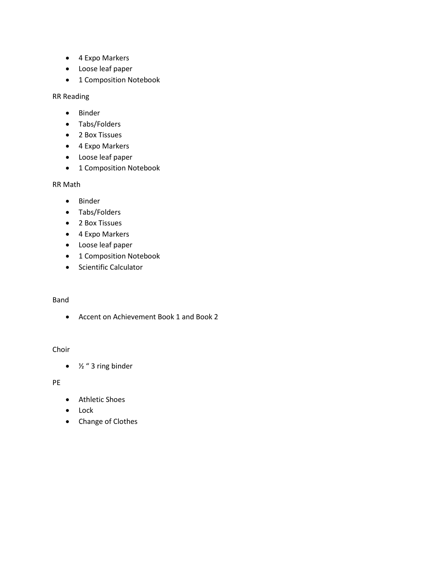- 4 Expo Markers
- Loose leaf paper
- 1 Composition Notebook

RR Reading

- Binder
- Tabs/Folders
- 2 Box Tissues
- 4 Expo Markers
- Loose leaf paper
- 1 Composition Notebook

RR Math

- Binder
- Tabs/Folders
- 2 Box Tissues
- 4 Expo Markers
- Loose leaf paper
- 1 Composition Notebook
- Scientific Calculator

#### Band

• Accent on Achievement Book 1 and Book 2

#### Choir

•  $\frac{1}{2}$  " 3 ring binder

#### PE

- Athletic Shoes
- Lock
- Change of Clothes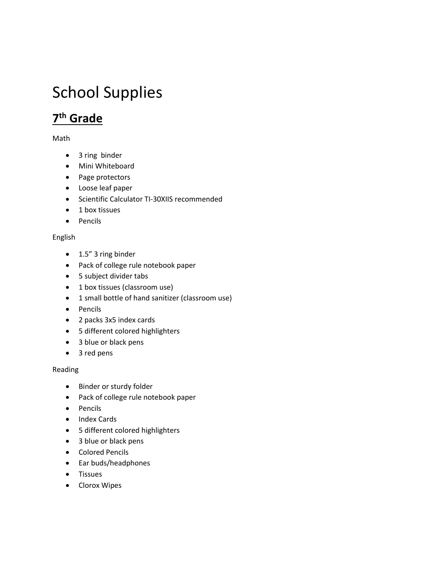# School Supplies

## **7 th Grade**

Math

- 3 ring binder
- Mini Whiteboard
- Page protectors
- Loose leaf paper
- Scientific Calculator TI-30XIIS recommended
- 1 box tissues
- Pencils

#### English

- 1.5" 3 ring binder
- Pack of college rule notebook paper
- 5 subject divider tabs
- 1 box tissues (classroom use)
- 1 small bottle of hand sanitizer (classroom use)
- Pencils
- 2 packs 3x5 index cards
- 5 different colored highlighters
- 3 blue or black pens
- 3 red pens

#### Reading

- Binder or sturdy folder
- Pack of college rule notebook paper
- Pencils
- Index Cards
- 5 different colored highlighters
- 3 blue or black pens
- Colored Pencils
- Ear buds/headphones
- Tissues
- Clorox Wipes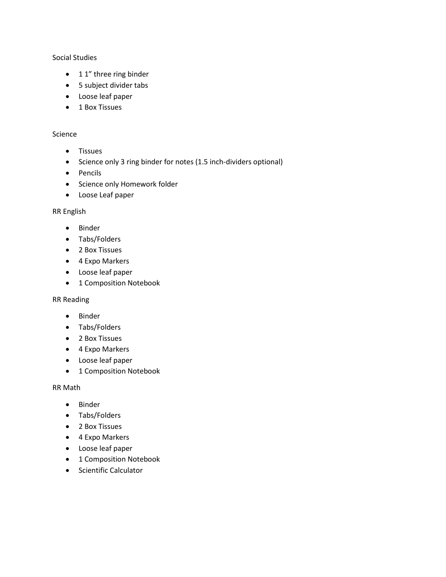#### Social Studies

- 1 1" three ring binder
- 5 subject divider tabs
- Loose leaf paper
- 1 Box Tissues

#### Science

- Tissues
- Science only 3 ring binder for notes (1.5 inch-dividers optional)
- Pencils
- Science only Homework folder
- Loose Leaf paper

#### RR English

- Binder
- Tabs/Folders
- 2 Box Tissues
- 4 Expo Markers
- Loose leaf paper
- 1 Composition Notebook

#### RR Reading

- Binder
- Tabs/Folders
- 2 Box Tissues
- 4 Expo Markers
- Loose leaf paper
- 1 Composition Notebook

RR Math

- Binder
- Tabs/Folders
- 2 Box Tissues
- 4 Expo Markers
- Loose leaf paper
- 1 Composition Notebook
- Scientific Calculator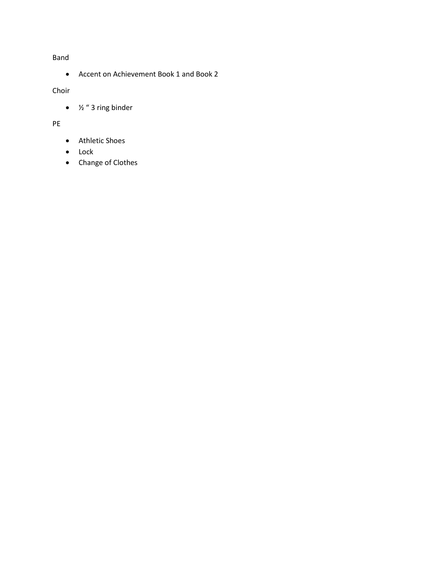#### Band

• Accent on Achievement Book 1 and Book 2

#### Choir

•  $\frac{1}{2}$  " 3 ring binder

#### PE

- Athletic Shoes
- Lock
- Change of Clothes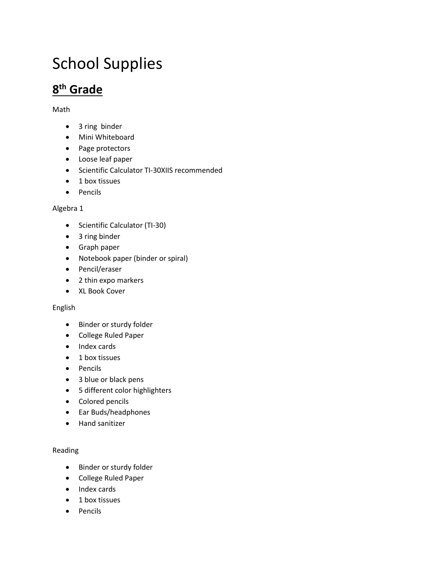# School Supplies

# **8 th Grade**

#### Math

- 3 ring binder
- Mini Whiteboard
- Page protectors
- Loose leaf paper
- Scientific Calculator TI-30XIIS recommended
- 1 box tissues
- Pencils

#### Algebra 1

- Scientific Calculator (TI-30)
- 3 ring binder
- Graph paper
- Notebook paper (binder or spiral)
- Pencil/eraser
- 2 thin expo markers
- XL Book Cover

#### English

- Binder or sturdy folder
- College Ruled Paper
- Index cards
- 1 box tissues
- Pencils
- 3 blue or black pens
- 5 different color highlighters
- Colored pencils
- Ear Buds/headphones
- Hand sanitizer

#### Reading

- Binder or sturdy folder
- College Ruled Paper
- Index cards
- 1 box tissues
- Pencils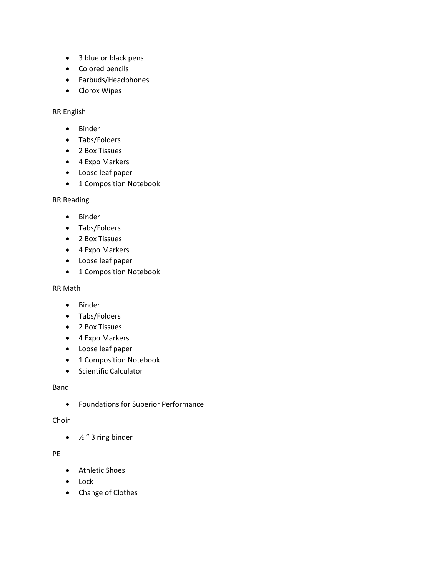- 3 blue or black pens
- Colored pencils
- Earbuds/Headphones
- Clorox Wipes

RR English

- Binder
- Tabs/Folders
- 2 Box Tissues
- 4 Expo Markers
- Loose leaf paper
- 1 Composition Notebook

RR Reading

- Binder
- Tabs/Folders
- 2 Box Tissues
- 4 Expo Markers
- Loose leaf paper
- 1 Composition Notebook

#### RR Math

- Binder
- Tabs/Folders
- 2 Box Tissues
- 4 Expo Markers
- Loose leaf paper
- 1 Composition Notebook
- Scientific Calculator

#### Band

• Foundations for Superior Performance

#### Choir

•  $\frac{1}{2}$  " 3 ring binder

#### PE

- Athletic Shoes
- Lock
- Change of Clothes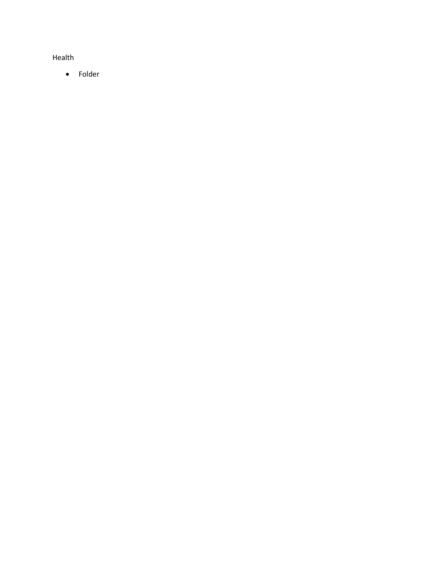Health

• Folder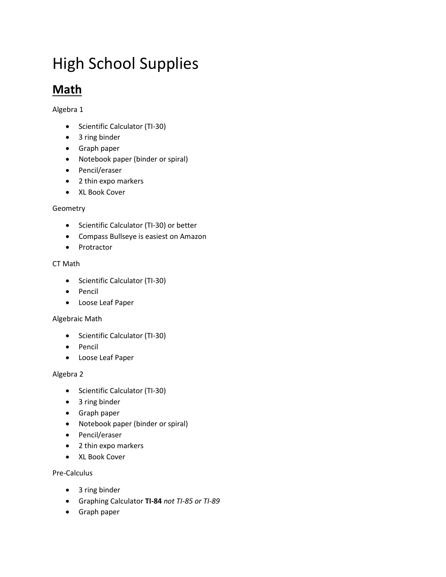# High School Supplies

## **Math**

Algebra 1

- Scientific Calculator (TI-30)
- 3 ring binder
- Graph paper
- Notebook paper (binder or spiral)
- Pencil/eraser
- 2 thin expo markers
- XL Book Cover

#### Geometry

- Scientific Calculator (TI-30) or better
- Compass Bullseye is easiest on Amazon
- Protractor

#### CT Math

- Scientific Calculator (TI-30)
- Pencil
- Loose Leaf Paper

#### Algebraic Math

- Scientific Calculator (TI-30)
- Pencil
- Loose Leaf Paper

#### Algebra 2

- Scientific Calculator (TI-30)
- 3 ring binder
- Graph paper
- Notebook paper (binder or spiral)
- Pencil/eraser
- 2 thin expo markers
- XL Book Cover

#### Pre-Calculus

- 3 ring binder
- Graphing Calculator **TI-84** *not TI-85 or TI-89*
- Graph paper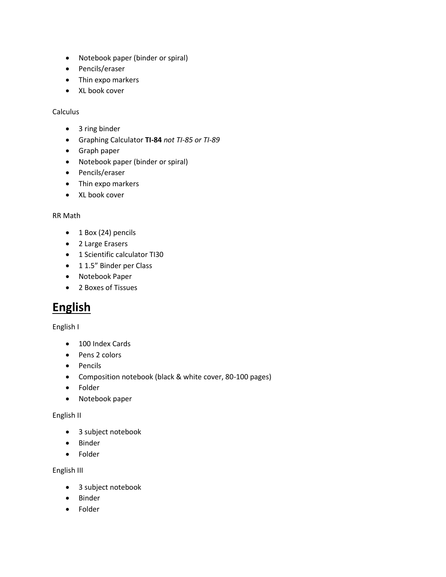- Notebook paper (binder or spiral)
- Pencils/eraser
- Thin expo markers
- XL book cover

#### Calculus

- 3 ring binder
- Graphing Calculator **TI-84** *not TI-85 or TI-89*
- Graph paper
- Notebook paper (binder or spiral)
- Pencils/eraser
- Thin expo markers
- XL book cover

#### RR Math

- $\bullet$  1 Box (24) pencils
- 2 Large Erasers
- 1 Scientific calculator TI30
- 1 1.5" Binder per Class
- Notebook Paper
- 2 Boxes of Tissues

### **English**

#### English I

- 100 Index Cards
- Pens 2 colors
- Pencils
- Composition notebook (black & white cover, 80-100 pages)
- Folder
- Notebook paper

#### English II

- 3 subject notebook
- Binder
- Folder

#### English III

- 3 subject notebook
- Binder
- Folder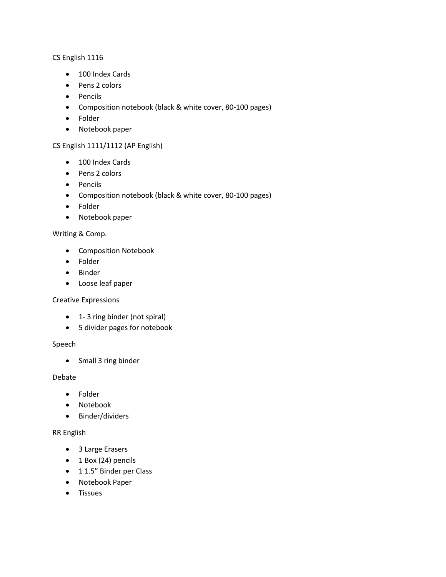#### CS English 1116

- 100 Index Cards
- Pens 2 colors
- Pencils
- Composition notebook (black & white cover, 80-100 pages)
- Folder
- Notebook paper

#### CS English 1111/1112 (AP English)

- 100 Index Cards
- Pens 2 colors
- Pencils
- Composition notebook (black & white cover, 80-100 pages)
- Folder
- Notebook paper

#### Writing & Comp.

- Composition Notebook
- Folder
- Binder
- Loose leaf paper

#### Creative Expressions

- 1- 3 ring binder (not spiral)
- 5 divider pages for notebook

#### Speech

• Small 3 ring binder

#### Debate

- Folder
- Notebook
- Binder/dividers

#### RR English

- 3 Large Erasers
- 1 Box (24) pencils
- 1 1.5" Binder per Class
- Notebook Paper
- Tissues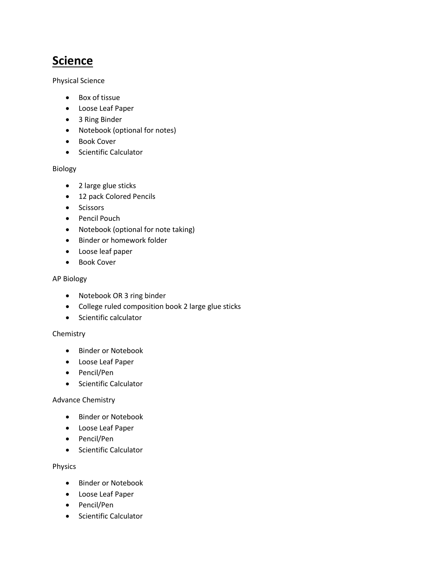## **Science**

Physical Science

- Box of tissue
- Loose Leaf Paper
- 3 Ring Binder
- Notebook (optional for notes)
- Book Cover
- Scientific Calculator

#### Biology

- 2 large glue sticks
- 12 pack Colored Pencils
- Scissors
- Pencil Pouch
- Notebook (optional for note taking)
- Binder or homework folder
- Loose leaf paper
- Book Cover

#### AP Biology

- Notebook OR 3 ring binder
- College ruled composition book 2 large glue sticks
- Scientific calculator

#### Chemistry

- Binder or Notebook
- Loose Leaf Paper
- Pencil/Pen
- Scientific Calculator

#### Advance Chemistry

- Binder or Notebook
- Loose Leaf Paper
- Pencil/Pen
- Scientific Calculator

#### Physics

- Binder or Notebook
- Loose Leaf Paper
- Pencil/Pen
- Scientific Calculator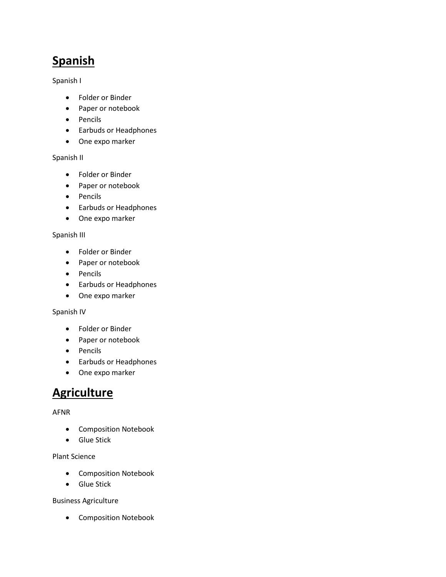# **Spanish**

Spanish I

- Folder or Binder
- Paper or notebook
- Pencils
- Earbuds or Headphones
- One expo marker

#### Spanish II

- Folder or Binder
- Paper or notebook
- Pencils
- Earbuds or Headphones
- One expo marker

#### Spanish III

- Folder or Binder
- Paper or notebook
- Pencils
- Earbuds or Headphones
- One expo marker

#### Spanish IV

- Folder or Binder
- Paper or notebook
- Pencils
- Earbuds or Headphones
- One expo marker

### **Agriculture**

#### AFNR

- Composition Notebook
- Glue Stick

Plant Science

- Composition Notebook
- Glue Stick

#### Business Agriculture

• Composition Notebook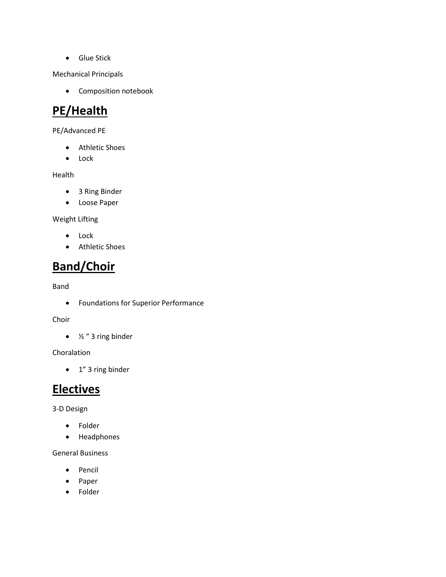• Glue Stick

Mechanical Principals

• Composition notebook

## **PE/Health**

PE/Advanced PE

- Athletic Shoes
- Lock

Health

- 3 Ring Binder
- Loose Paper

Weight Lifting

- Lock
- Athletic Shoes

### **Band/Choir**

Band

• Foundations for Superior Performance

Choir

 $\bullet$  %  $\frac{1}{2}$  " 3 ring binder

Choralation

• 1" 3 ring binder

### **Electives**

3-D Design

- Folder
- Headphones

General Business

- Pencil
- Paper
- Folder